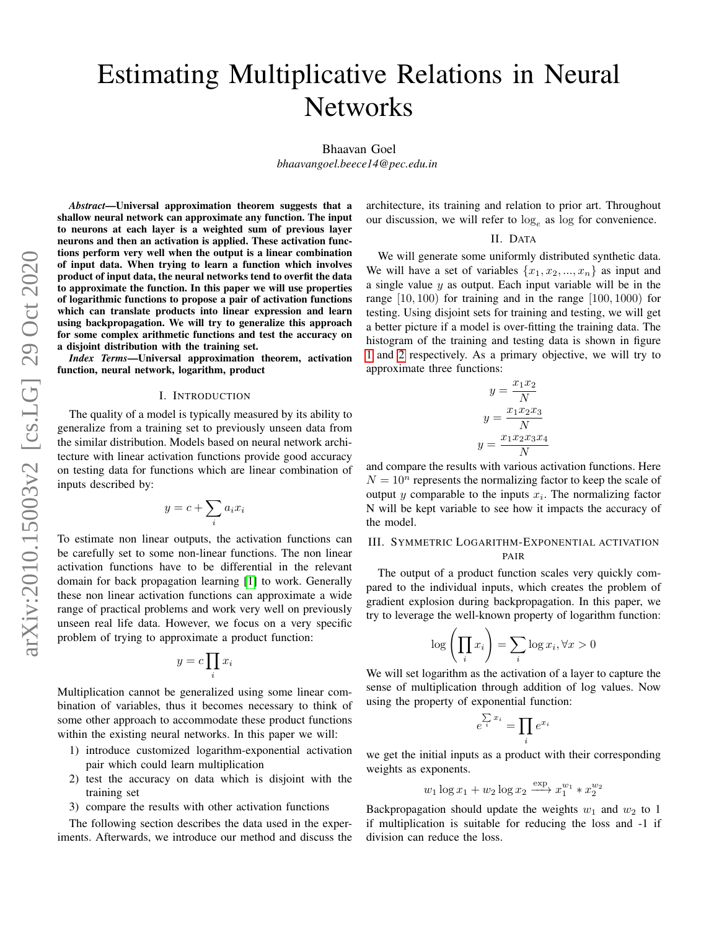# Estimating Multiplicative Relations in Neural **Networks**

Bhaavan Goel

*bhaavangoel.beece14@pec.edu.in*

*Abstract*—Universal approximation theorem suggests that a shallow neural network can approximate any function. The input to neurons at each layer is a weighted sum of previous layer neurons and then an activation is applied. These activation functions perform very well when the output is a linear combination of input data. When trying to learn a function which involves product of input data, the neural networks tend to overfit the data to approximate the function. In this paper we will use properties of logarithmic functions to propose a pair of activation functions which can translate products into linear expression and learn using backpropagation. We will try to generalize this approach for some complex arithmetic functions and test the accuracy on a disjoint distribution with the training set.

*Index Terms*—Universal approximation theorem, activation function, neural network, logarithm, product

#### I. INTRODUCTION

The quality of a model is typically measured by its ability to generalize from a training set to previously unseen data from the similar distribution. Models based on neural network architecture with linear activation functions provide good accuracy on testing data for functions which are linear combination of inputs described by:

$$
y = c + \sum_{i} a_i x_i
$$

To estimate non linear outputs, the activation functions can be carefully set to some non-linear functions. The non linear activation functions have to be differential in the relevant domain for back propagation learning [\[1\]](#page-4-0) to work. Generally these non linear activation functions can approximate a wide range of practical problems and work very well on previously unseen real life data. However, we focus on a very specific problem of trying to approximate a product function:

$$
y = c \prod_i x_i
$$

Multiplication cannot be generalized using some linear combination of variables, thus it becomes necessary to think of some other approach to accommodate these product functions within the existing neural networks. In this paper we will:

- 1) introduce customized logarithm-exponential activation pair which could learn multiplication
- 2) test the accuracy on data which is disjoint with the training set
- 3) compare the results with other activation functions

The following section describes the data used in the experiments. Afterwards, we introduce our method and discuss the architecture, its training and relation to prior art. Throughout our discussion, we will refer to  $log_e$  as log for convenience.

## II. DATA

We will generate some uniformly distributed synthetic data. We will have a set of variables  $\{x_1, x_2, ..., x_n\}$  as input and a single value  $y$  as output. Each input variable will be in the range  $[10, 100)$  for training and in the range  $[100, 1000)$  for testing. Using disjoint sets for training and testing, we will get a better picture if a model is over-fitting the training data. The histogram of the training and testing data is shown in figure [1](#page-1-0) and [2](#page-1-0) respectively. As a primary objective, we will try to approximate three functions:

$$
y = \frac{x_1 x_2}{N}
$$

$$
y = \frac{x_1 x_2 x_3}{N}
$$

$$
y = \frac{x_1 x_2 x_3 x_4}{N}
$$

and compare the results with various activation functions. Here  $N = 10^n$  represents the normalizing factor to keep the scale of output  $y$  comparable to the inputs  $x_i$ . The normalizing factor N will be kept variable to see how it impacts the accuracy of the model.

## III. SYMMETRIC LOGARITHM-EXPONENTIAL ACTIVATION PAIR

The output of a product function scales very quickly compared to the individual inputs, which creates the problem of gradient explosion during backpropagation. In this paper, we try to leverage the well-known property of logarithm function:

$$
\log\left(\prod_i x_i\right) = \sum_i \log x_i, \forall x > 0
$$

We will set logarithm as the activation of a layer to capture the sense of multiplication through addition of log values. Now using the property of exponential function:

$$
\sum_{i=1}^{n} x_i = \prod_i e^{x_i}
$$

e

we get the initial inputs as a product with their corresponding weights as exponents.

$$
w_1 \log x_1 + w_2 \log x_2 \xrightarrow{\exp} x_1^{w_1} * x_2^{w_2}
$$

Backpropagation should update the weights  $w_1$  and  $w_2$  to 1 if multiplication is suitable for reducing the loss and -1 if division can reduce the loss.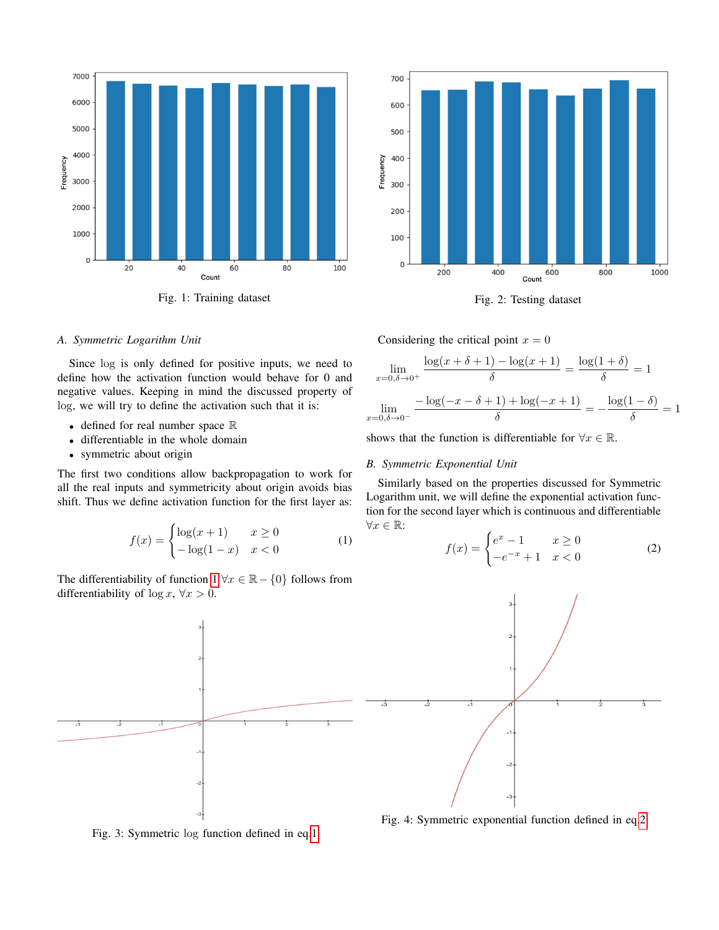<span id="page-1-0"></span>

Fig. 1: Training dataset Fig. 2: Testing dataset



## *A. Symmetric Logarithm Unit*

Since log is only defined for positive inputs, we need to define how the activation function would behave for 0 and negative values. Keeping in mind the discussed property of log, we will try to define the activation such that it is:

- defined for real number space R
- differentiable in the whole domain
- symmetric about origin

The first two conditions allow backpropagation to work for all the real inputs and symmetricity about origin avoids bias shift. Thus we define activation function for the first layer as:

<span id="page-1-1"></span>
$$
f(x) = \begin{cases} \log(x+1) & x \ge 0\\ -\log(1-x) & x < 0 \end{cases} \tag{1}
$$

The differentiability of function  $1 \forall x \in \mathbb{R} - \{0\}$  follows from differentiability of  $\log x$ ,  $\forall x > 0$ .



$$
\lim_{x=0,\delta \to 0^{+}} \frac{\log(x+\delta+1) - \log(x+1)}{\delta} = \frac{\log(1+\delta)}{\delta} = 1
$$

$$
\lim_{x=0,\delta \to 0^{-}} \frac{-\log(-x-\delta+1) + \log(-x+1)}{\delta} = -\frac{\log(1-\delta)}{\delta} = 1
$$

shows that the function is differentiable for  $\forall x \in \mathbb{R}$ .

## *B. Symmetric Exponential Unit*

Similarly based on the properties discussed for Symmetric Logarithm unit, we will define the exponential activation function for the second layer which is continuous and differentiable  $\forall x \in \mathbb{R}$ :

<span id="page-1-2"></span>
$$
f(x) = \begin{cases} e^x - 1 & x \ge 0 \\ -e^{-x} + 1 & x < 0 \end{cases}
$$
 (2)



Fig. 3: Symmetric log function defined in eq[.1](#page-1-1)

Fig. 4: Symmetric exponential function defined in eq[.2](#page-1-2)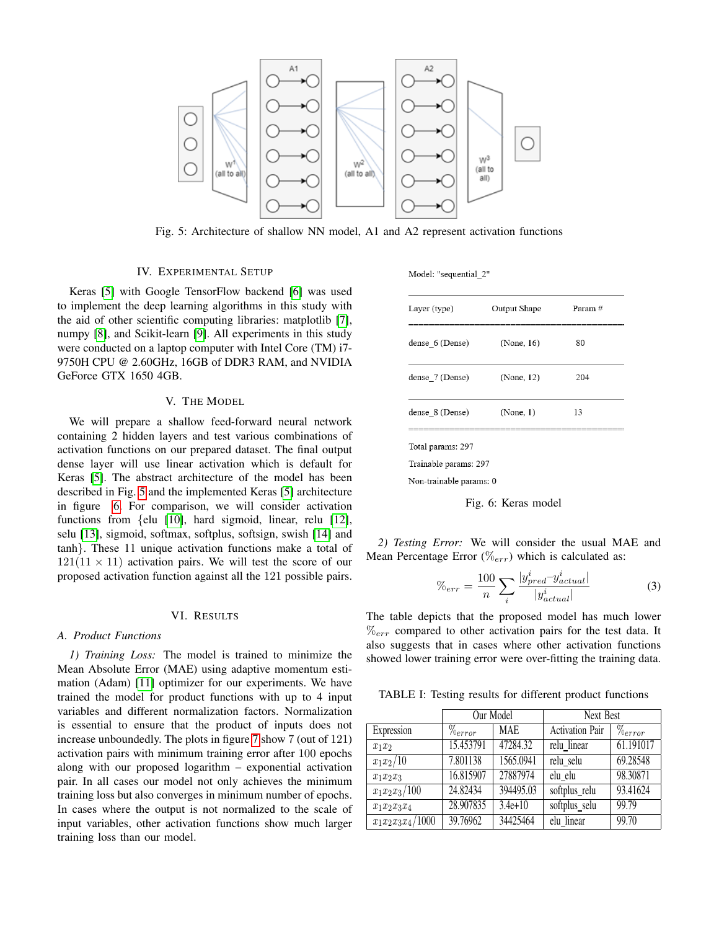<span id="page-2-0"></span>

Fig. 5: Architecture of shallow NN model, A1 and A2 represent activation functions

## IV. EXPERIMENTAL SETUP

Keras [\[5\]](#page-4-1) with Google TensorFlow backend [\[6\]](#page-4-2) was used to implement the deep learning algorithms in this study with the aid of other scientific computing libraries: matplotlib [\[7\]](#page-4-3), numpy [\[8\]](#page-4-4), and Scikit-learn [\[9\]](#page-4-5). All experiments in this study were conducted on a laptop computer with Intel Core (TM) i7- 9750H CPU @ 2.60GHz, 16GB of DDR3 RAM, and NVIDIA GeForce GTX 1650 4GB.

## V. THE MODEL

We will prepare a shallow feed-forward neural network containing 2 hidden layers and test various combinations of activation functions on our prepared dataset. The final output dense layer will use linear activation which is default for Keras [\[5\]](#page-4-1). The abstract architecture of the model has been described in Fig. [5](#page-2-0) and the implemented Keras [\[5\]](#page-4-1) architecture in figure [6.](#page-2-1) For comparison, we will consider activation functions from {elu [\[10\]](#page-4-6), hard sigmoid, linear, relu [\[12\]](#page-4-7), selu [\[13\]](#page-4-8), sigmoid, softmax, softplus, softsign, swish [\[14\]](#page-4-9) and tanh}. These 11 unique activation functions make a total of  $121(11 \times 11)$  activation pairs. We will test the score of our proposed activation function against all the 121 possible pairs.

#### VI. RESULTS

#### *A. Product Functions*

*1) Training Loss:* The model is trained to minimize the Mean Absolute Error (MAE) using adaptive momentum estimation (Adam) [\[11\]](#page-4-10) optimizer for our experiments. We have trained the model for product functions with up to 4 input variables and different normalization factors. Normalization is essential to ensure that the product of inputs does not increase unboundedly. The plots in figure [7](#page-3-0) show 7 (out of 121) activation pairs with minimum training error after 100 epochs along with our proposed logarithm – exponential activation pair. In all cases our model not only achieves the minimum training loss but also converges in minimum number of epochs. In cases where the output is not normalized to the scale of input variables, other activation functions show much larger training loss than our model.

<span id="page-2-1"></span>

|  | Model: "sequential 2" |  |  |
|--|-----------------------|--|--|
|  |                       |  |  |

| Layer (type)            | Output Shape | Param# |  |
|-------------------------|--------------|--------|--|
| dense 6 (Dense)         | (None, 16)   | 80     |  |
| dense 7 (Dense)         | (None, 12)   | 204    |  |
| dense 8 (Dense)         | (None, 1)    | 13     |  |
| Total params: 297       |              |        |  |
| Trainable params: 297   |              |        |  |
| Non-trainable params: 0 |              |        |  |



*2) Testing Error:* We will consider the usual MAE and Mean Percentage Error  $(\%_{err})$  which is calculated as:

$$
\%_{err} = \frac{100}{n} \sum_{i} \frac{|y_{pred}^i - y_{actual}^i|}{|y_{actual}^i|}
$$
(3)

The table depicts that the proposed model has much lower  $\%_{err}$  compared to other activation pairs for the test data. It also suggests that in cases where other activation functions showed lower training error were over-fitting the training data.

TABLE I: Testing results for different product functions

|                     | Our Model             |            | Next Best              |                            |
|---------------------|-----------------------|------------|------------------------|----------------------------|
| Expression          | $\%$ <sub>error</sub> | <b>MAE</b> | <b>Activation Pair</b> | $\sqrt[n]{\theta_{error}}$ |
| $x_1x_2$            | 15.453791             | 47284.32   | relu linear            | 61.191017                  |
| $x_1x_2/10$         | 7.801138              | 1565.0941  | relu selu              | 69.28548                   |
| $x_1x_2x_3$         | 16.815907             | 27887974   | elu elu                | 98.30871                   |
| $x_1x_2x_3/100$     | 24.82434              | 394495.03  | softplus_relu          | 93.41624                   |
| $x_1x_2x_3x_4$      | 28.907835             | $3.4e+10$  | softplus_selu          | 99.79                      |
| $x_1x_2x_3x_4/1000$ | 39.76962              | 34425464   | elu_linear             | 99.70                      |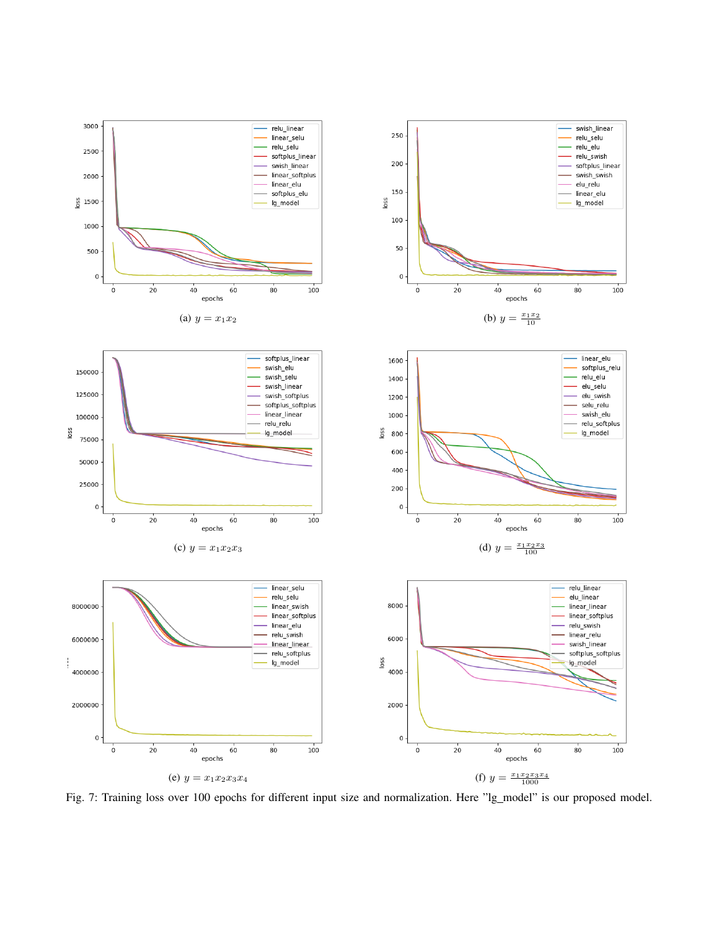<span id="page-3-0"></span>

Fig. 7: Training loss over 100 epochs for different input size and normalization. Here "lg\_model" is our proposed model.